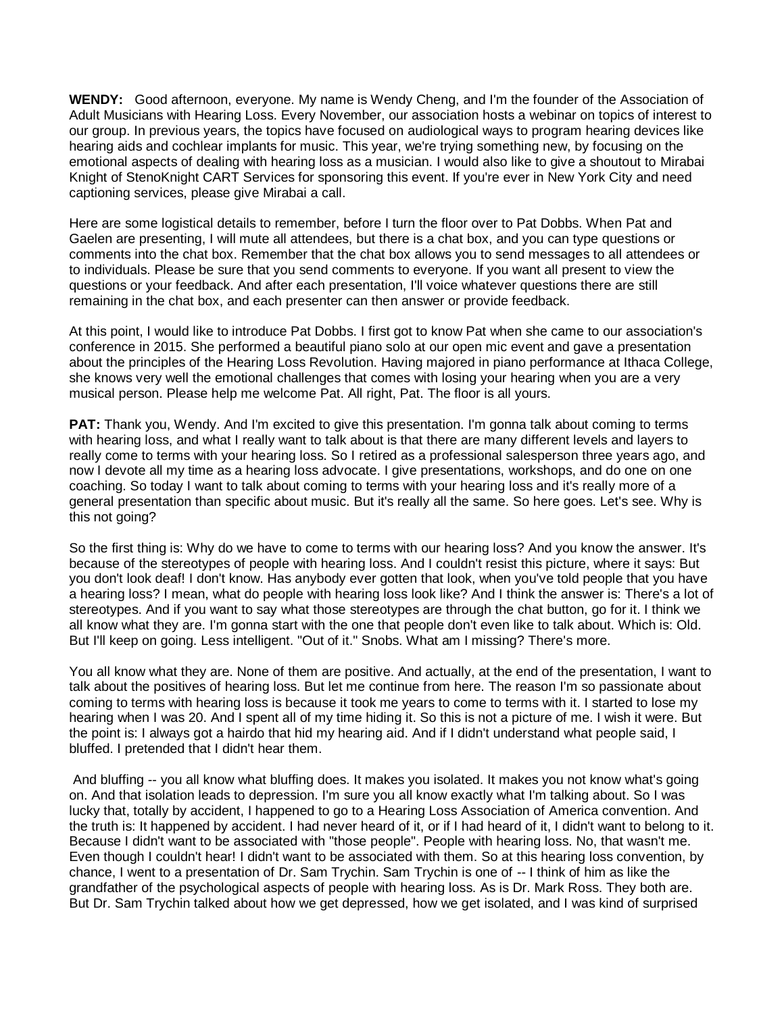**WENDY:** Good afternoon, everyone. My name is Wendy Cheng, and I'm the founder of the Association of Adult Musicians with Hearing Loss. Every November, our association hosts a webinar on topics of interest to our group. In previous years, the topics have focused on audiological ways to program hearing devices like hearing aids and cochlear implants for music. This year, we're trying something new, by focusing on the emotional aspects of dealing with hearing loss as a musician. I would also like to give a shoutout to Mirabai Knight of StenoKnight CART Services for sponsoring this event. If you're ever in New York City and need captioning services, please give Mirabai a call.

Here are some logistical details to remember, before I turn the floor over to Pat Dobbs. When Pat and Gaelen are presenting, I will mute all attendees, but there is a chat box, and you can type questions or comments into the chat box. Remember that the chat box allows you to send messages to all attendees or to individuals. Please be sure that you send comments to everyone. If you want all present to view the questions or your feedback. And after each presentation, I'll voice whatever questions there are still remaining in the chat box, and each presenter can then answer or provide feedback.

At this point, I would like to introduce Pat Dobbs. I first got to know Pat when she came to our association's conference in 2015. She performed a beautiful piano solo at our open mic event and gave a presentation about the principles of the Hearing Loss Revolution. Having majored in piano performance at Ithaca College, she knows very well the emotional challenges that comes with losing your hearing when you are a very musical person. Please help me welcome Pat. All right, Pat. The floor is all yours.

**PAT:** Thank you, Wendy. And I'm excited to give this presentation. I'm gonna talk about coming to terms with hearing loss, and what I really want to talk about is that there are many different levels and layers to really come to terms with your hearing loss. So I retired as a professional salesperson three years ago, and now I devote all my time as a hearing loss advocate. I give presentations, workshops, and do one on one coaching. So today I want to talk about coming to terms with your hearing loss and it's really more of a general presentation than specific about music. But it's really all the same. So here goes. Let's see. Why is this not going?

So the first thing is: Why do we have to come to terms with our hearing loss? And you know the answer. It's because of the stereotypes of people with hearing loss. And I couldn't resist this picture, where it says: But you don't look deaf! I don't know. Has anybody ever gotten that look, when you've told people that you have a hearing loss? I mean, what do people with hearing loss look like? And I think the answer is: There's a lot of stereotypes. And if you want to say what those stereotypes are through the chat button, go for it. I think we all know what they are. I'm gonna start with the one that people don't even like to talk about. Which is: Old. But I'll keep on going. Less intelligent. "Out of it." Snobs. What am I missing? There's more.

You all know what they are. None of them are positive. And actually, at the end of the presentation, I want to talk about the positives of hearing loss. But let me continue from here. The reason I'm so passionate about coming to terms with hearing loss is because it took me years to come to terms with it. I started to lose my hearing when I was 20. And I spent all of my time hiding it. So this is not a picture of me. I wish it were. But the point is: I always got a hairdo that hid my hearing aid. And if I didn't understand what people said, I bluffed. I pretended that I didn't hear them.

And bluffing -- you all know what bluffing does. It makes you isolated. It makes you not know what's going on. And that isolation leads to depression. I'm sure you all know exactly what I'm talking about. So I was lucky that, totally by accident, I happened to go to a Hearing Loss Association of America convention. And the truth is: It happened by accident. I had never heard of it, or if I had heard of it, I didn't want to belong to it. Because I didn't want to be associated with "those people". People with hearing loss. No, that wasn't me. Even though I couldn't hear! I didn't want to be associated with them. So at this hearing loss convention, by chance, I went to a presentation of Dr. Sam Trychin. Sam Trychin is one of -- I think of him as like the grandfather of the psychological aspects of people with hearing loss. As is Dr. Mark Ross. They both are. But Dr. Sam Trychin talked about how we get depressed, how we get isolated, and I was kind of surprised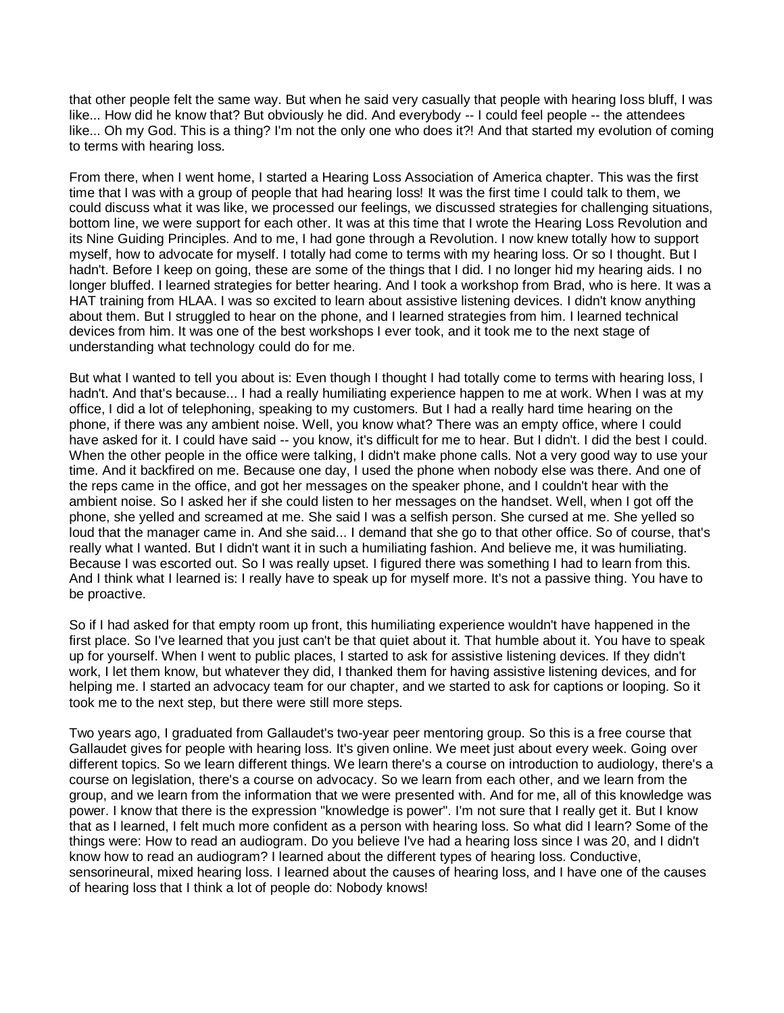that other people felt the same way. But when he said very casually that people with hearing loss bluff, I was like... How did he know that? But obviously he did. And everybody -- I could feel people -- the attendees like... Oh my God. This is a thing? I'm not the only one who does it?! And that started my evolution of coming to terms with hearing loss.

From there, when I went home, I started a Hearing Loss Association of America chapter. This was the first time that I was with a group of people that had hearing loss! It was the first time I could talk to them, we could discuss what it was like, we processed our feelings, we discussed strategies for challenging situations, bottom line, we were support for each other. It was at this time that I wrote the Hearing Loss Revolution and its Nine Guiding Principles. And to me, I had gone through a Revolution. I now knew totally how to support myself, how to advocate for myself. I totally had come to terms with my hearing loss. Or so I thought. But I hadn't. Before I keep on going, these are some of the things that I did. I no longer hid my hearing aids. I no longer bluffed. I learned strategies for better hearing. And I took a workshop from Brad, who is here. It was a HAT training from HLAA. I was so excited to learn about assistive listening devices. I didn't know anything about them. But I struggled to hear on the phone, and I learned strategies from him. I learned technical devices from him. It was one of the best workshops I ever took, and it took me to the next stage of understanding what technology could do for me.

But what I wanted to tell you about is: Even though I thought I had totally come to terms with hearing loss, I hadn't. And that's because... I had a really humiliating experience happen to me at work. When I was at my office, I did a lot of telephoning, speaking to my customers. But I had a really hard time hearing on the phone, if there was any ambient noise. Well, you know what? There was an empty office, where I could have asked for it. I could have said -- you know, it's difficult for me to hear. But I didn't. I did the best I could. When the other people in the office were talking, I didn't make phone calls. Not a very good way to use your time. And it backfired on me. Because one day, I used the phone when nobody else was there. And one of the reps came in the office, and got her messages on the speaker phone, and I couldn't hear with the ambient noise. So I asked her if she could listen to her messages on the handset. Well, when I got off the phone, she yelled and screamed at me. She said I was a selfish person. She cursed at me. She yelled so loud that the manager came in. And she said... I demand that she go to that other office. So of course, that's really what I wanted. But I didn't want it in such a humiliating fashion. And believe me, it was humiliating. Because I was escorted out. So I was really upset. I figured there was something I had to learn from this. And I think what I learned is: I really have to speak up for myself more. It's not a passive thing. You have to be proactive.

So if I had asked for that empty room up front, this humiliating experience wouldn't have happened in the first place. So I've learned that you just can't be that quiet about it. That humble about it. You have to speak up for yourself. When I went to public places, I started to ask for assistive listening devices. If they didn't work, I let them know, but whatever they did, I thanked them for having assistive listening devices, and for helping me. I started an advocacy team for our chapter, and we started to ask for captions or looping. So it took me to the next step, but there were still more steps.

Two years ago, I graduated from Gallaudet's two-year peer mentoring group. So this is a free course that Gallaudet gives for people with hearing loss. It's given online. We meet just about every week. Going over different topics. So we learn different things. We learn there's a course on introduction to audiology, there's a course on legislation, there's a course on advocacy. So we learn from each other, and we learn from the group, and we learn from the information that we were presented with. And for me, all of this knowledge was power. I know that there is the expression "knowledge is power". I'm not sure that I really get it. But I know that as I learned, I felt much more confident as a person with hearing loss. So what did I learn? Some of the things were: How to read an audiogram. Do you believe I've had a hearing loss since I was 20, and I didn't know how to read an audiogram? I learned about the different types of hearing loss. Conductive, sensorineural, mixed hearing loss. I learned about the causes of hearing loss, and I have one of the causes of hearing loss that I think a lot of people do: Nobody knows!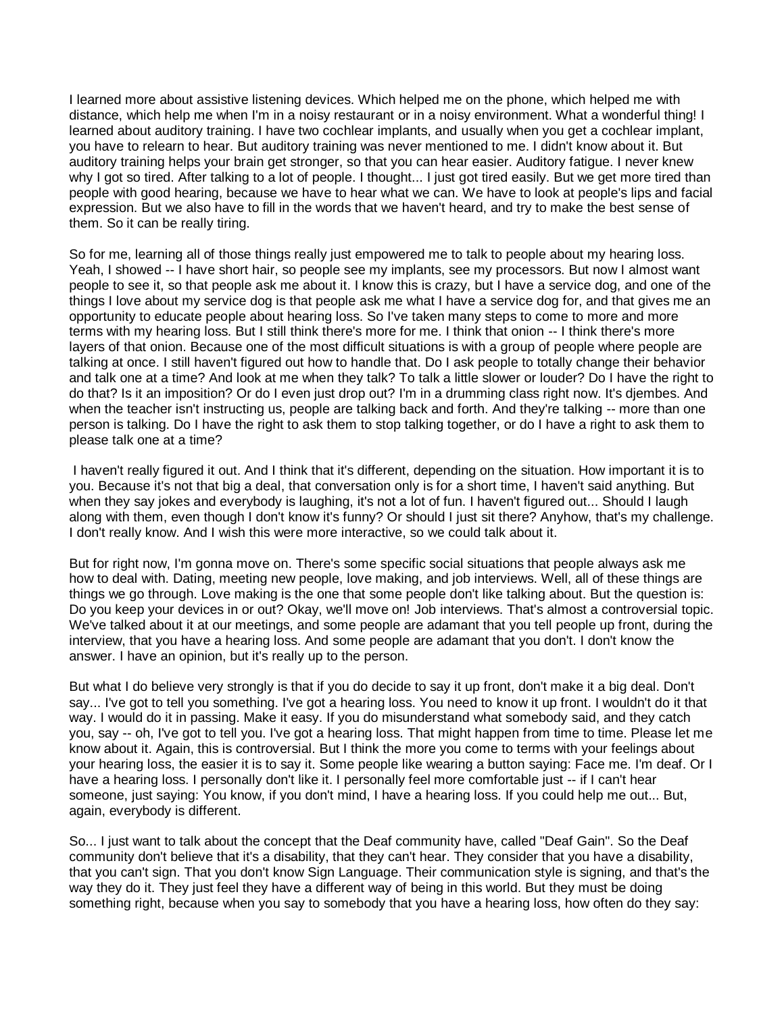I learned more about assistive listening devices. Which helped me on the phone, which helped me with distance, which help me when I'm in a noisy restaurant or in a noisy environment. What a wonderful thing! I learned about auditory training. I have two cochlear implants, and usually when you get a cochlear implant, you have to relearn to hear. But auditory training was never mentioned to me. I didn't know about it. But auditory training helps your brain get stronger, so that you can hear easier. Auditory fatigue. I never knew why I got so tired. After talking to a lot of people. I thought... I just got tired easily. But we get more tired than people with good hearing, because we have to hear what we can. We have to look at people's lips and facial expression. But we also have to fill in the words that we haven't heard, and try to make the best sense of them. So it can be really tiring.

So for me, learning all of those things really just empowered me to talk to people about my hearing loss. Yeah, I showed -- I have short hair, so people see my implants, see my processors. But now I almost want people to see it, so that people ask me about it. I know this is crazy, but I have a service dog, and one of the things I love about my service dog is that people ask me what I have a service dog for, and that gives me an opportunity to educate people about hearing loss. So I've taken many steps to come to more and more terms with my hearing loss. But I still think there's more for me. I think that onion -- I think there's more layers of that onion. Because one of the most difficult situations is with a group of people where people are talking at once. I still haven't figured out how to handle that. Do I ask people to totally change their behavior and talk one at a time? And look at me when they talk? To talk a little slower or louder? Do I have the right to do that? Is it an imposition? Or do I even just drop out? I'm in a drumming class right now. It's djembes. And when the teacher isn't instructing us, people are talking back and forth. And they're talking -- more than one person is talking. Do I have the right to ask them to stop talking together, or do I have a right to ask them to please talk one at a time?

I haven't really figured it out. And I think that it's different, depending on the situation. How important it is to you. Because it's not that big a deal, that conversation only is for a short time, I haven't said anything. But when they say jokes and everybody is laughing, it's not a lot of fun. I haven't figured out... Should I laugh along with them, even though I don't know it's funny? Or should I just sit there? Anyhow, that's my challenge. I don't really know. And I wish this were more interactive, so we could talk about it.

But for right now, I'm gonna move on. There's some specific social situations that people always ask me how to deal with. Dating, meeting new people, love making, and job interviews. Well, all of these things are things we go through. Love making is the one that some people don't like talking about. But the question is: Do you keep your devices in or out? Okay, we'll move on! Job interviews. That's almost a controversial topic. We've talked about it at our meetings, and some people are adamant that you tell people up front, during the interview, that you have a hearing loss. And some people are adamant that you don't. I don't know the answer. I have an opinion, but it's really up to the person.

But what I do believe very strongly is that if you do decide to say it up front, don't make it a big deal. Don't say... I've got to tell you something. I've got a hearing loss. You need to know it up front. I wouldn't do it that way. I would do it in passing. Make it easy. If you do misunderstand what somebody said, and they catch you, say -- oh, I've got to tell you. I've got a hearing loss. That might happen from time to time. Please let me know about it. Again, this is controversial. But I think the more you come to terms with your feelings about your hearing loss, the easier it is to say it. Some people like wearing a button saying: Face me. I'm deaf. Or I have a hearing loss. I personally don't like it. I personally feel more comfortable just -- if I can't hear someone, just saying: You know, if you don't mind, I have a hearing loss. If you could help me out... But, again, everybody is different.

So... I just want to talk about the concept that the Deaf community have, called "Deaf Gain". So the Deaf community don't believe that it's a disability, that they can't hear. They consider that you have a disability, that you can't sign. That you don't know Sign Language. Their communication style is signing, and that's the way they do it. They just feel they have a different way of being in this world. But they must be doing something right, because when you say to somebody that you have a hearing loss, how often do they say: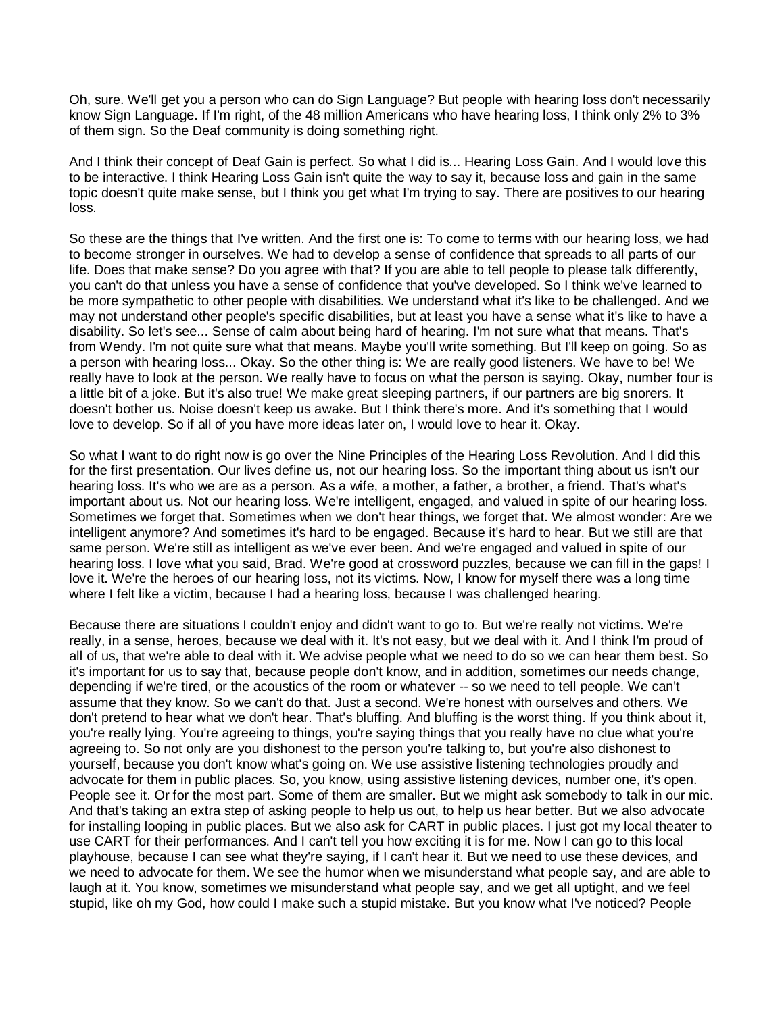Oh, sure. We'll get you a person who can do Sign Language? But people with hearing loss don't necessarily know Sign Language. If I'm right, of the 48 million Americans who have hearing loss, I think only 2% to 3% of them sign. So the Deaf community is doing something right.

And I think their concept of Deaf Gain is perfect. So what I did is... Hearing Loss Gain. And I would love this to be interactive. I think Hearing Loss Gain isn't quite the way to say it, because loss and gain in the same topic doesn't quite make sense, but I think you get what I'm trying to say. There are positives to our hearing loss.

So these are the things that I've written. And the first one is: To come to terms with our hearing loss, we had to become stronger in ourselves. We had to develop a sense of confidence that spreads to all parts of our life. Does that make sense? Do you agree with that? If you are able to tell people to please talk differently, you can't do that unless you have a sense of confidence that you've developed. So I think we've learned to be more sympathetic to other people with disabilities. We understand what it's like to be challenged. And we may not understand other people's specific disabilities, but at least you have a sense what it's like to have a disability. So let's see... Sense of calm about being hard of hearing. I'm not sure what that means. That's from Wendy. I'm not quite sure what that means. Maybe you'll write something. But I'll keep on going. So as a person with hearing loss... Okay. So the other thing is: We are really good listeners. We have to be! We really have to look at the person. We really have to focus on what the person is saying. Okay, number four is a little bit of a joke. But it's also true! We make great sleeping partners, if our partners are big snorers. It doesn't bother us. Noise doesn't keep us awake. But I think there's more. And it's something that I would love to develop. So if all of you have more ideas later on, I would love to hear it. Okay.

So what I want to do right now is go over the Nine Principles of the Hearing Loss Revolution. And I did this for the first presentation. Our lives define us, not our hearing loss. So the important thing about us isn't our hearing loss. It's who we are as a person. As a wife, a mother, a father, a brother, a friend. That's what's important about us. Not our hearing loss. We're intelligent, engaged, and valued in spite of our hearing loss. Sometimes we forget that. Sometimes when we don't hear things, we forget that. We almost wonder: Are we intelligent anymore? And sometimes it's hard to be engaged. Because it's hard to hear. But we still are that same person. We're still as intelligent as we've ever been. And we're engaged and valued in spite of our hearing loss. I love what you said, Brad. We're good at crossword puzzles, because we can fill in the gaps! I love it. We're the heroes of our hearing loss, not its victims. Now, I know for myself there was a long time where I felt like a victim, because I had a hearing loss, because I was challenged hearing.

Because there are situations I couldn't enjoy and didn't want to go to. But we're really not victims. We're really, in a sense, heroes, because we deal with it. It's not easy, but we deal with it. And I think I'm proud of all of us, that we're able to deal with it. We advise people what we need to do so we can hear them best. So it's important for us to say that, because people don't know, and in addition, sometimes our needs change, depending if we're tired, or the acoustics of the room or whatever -- so we need to tell people. We can't assume that they know. So we can't do that. Just a second. We're honest with ourselves and others. We don't pretend to hear what we don't hear. That's bluffing. And bluffing is the worst thing. If you think about it, you're really lying. You're agreeing to things, you're saying things that you really have no clue what you're agreeing to. So not only are you dishonest to the person you're talking to, but you're also dishonest to yourself, because you don't know what's going on. We use assistive listening technologies proudly and advocate for them in public places. So, you know, using assistive listening devices, number one, it's open. People see it. Or for the most part. Some of them are smaller. But we might ask somebody to talk in our mic. And that's taking an extra step of asking people to help us out, to help us hear better. But we also advocate for installing looping in public places. But we also ask for CART in public places. I just got my local theater to use CART for their performances. And I can't tell you how exciting it is for me. Now I can go to this local playhouse, because I can see what they're saying, if I can't hear it. But we need to use these devices, and we need to advocate for them. We see the humor when we misunderstand what people say, and are able to laugh at it. You know, sometimes we misunderstand what people say, and we get all uptight, and we feel stupid, like oh my God, how could I make such a stupid mistake. But you know what I've noticed? People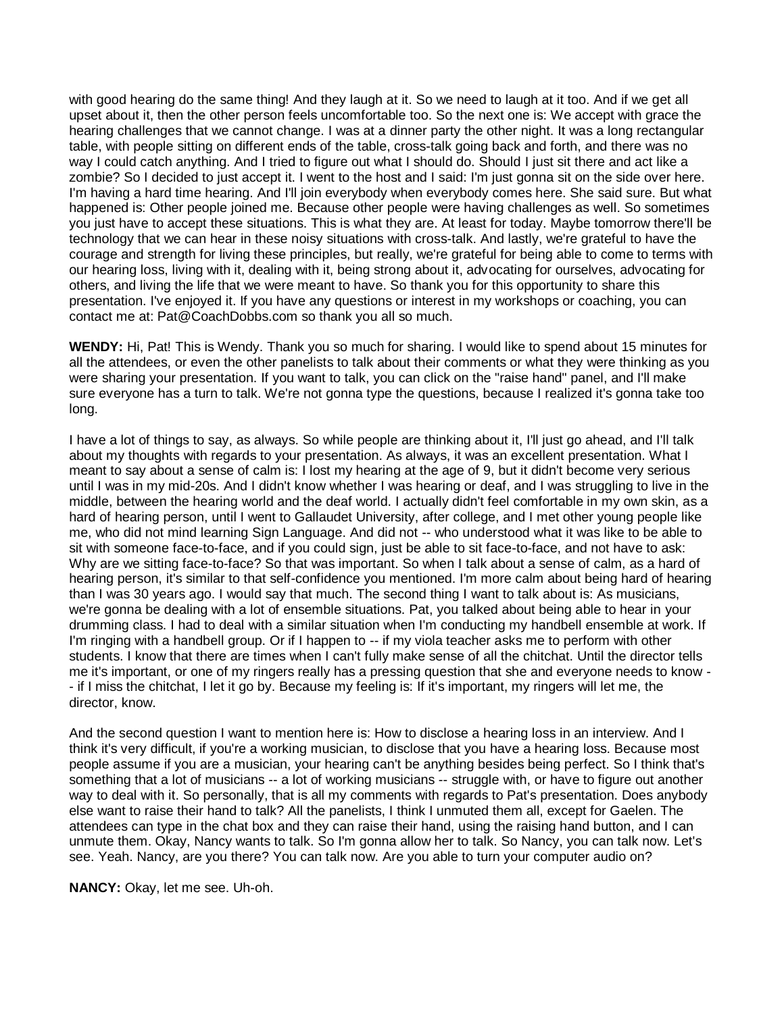with good hearing do the same thing! And they laugh at it. So we need to laugh at it too. And if we get all upset about it, then the other person feels uncomfortable too. So the next one is: We accept with grace the hearing challenges that we cannot change. I was at a dinner party the other night. It was a long rectangular table, with people sitting on different ends of the table, cross-talk going back and forth, and there was no way I could catch anything. And I tried to figure out what I should do. Should I just sit there and act like a zombie? So I decided to just accept it. I went to the host and I said: I'm just gonna sit on the side over here. I'm having a hard time hearing. And I'll join everybody when everybody comes here. She said sure. But what happened is: Other people joined me. Because other people were having challenges as well. So sometimes you just have to accept these situations. This is what they are. At least for today. Maybe tomorrow there'll be technology that we can hear in these noisy situations with cross-talk. And lastly, we're grateful to have the courage and strength for living these principles, but really, we're grateful for being able to come to terms with our hearing loss, living with it, dealing with it, being strong about it, advocating for ourselves, advocating for others, and living the life that we were meant to have. So thank you for this opportunity to share this presentation. I've enjoyed it. If you have any questions or interest in my workshops or coaching, you can contact me at: Pat@CoachDobbs.com so thank you all so much.

**WENDY:** Hi, Pat! This is Wendy. Thank you so much for sharing. I would like to spend about 15 minutes for all the attendees, or even the other panelists to talk about their comments or what they were thinking as you were sharing your presentation. If you want to talk, you can click on the "raise hand" panel, and I'll make sure everyone has a turn to talk. We're not gonna type the questions, because I realized it's gonna take too long.

I have a lot of things to say, as always. So while people are thinking about it, I'll just go ahead, and I'll talk about my thoughts with regards to your presentation. As always, it was an excellent presentation. What I meant to say about a sense of calm is: I lost my hearing at the age of 9, but it didn't become very serious until I was in my mid-20s. And I didn't know whether I was hearing or deaf, and I was struggling to live in the middle, between the hearing world and the deaf world. I actually didn't feel comfortable in my own skin, as a hard of hearing person, until I went to Gallaudet University, after college, and I met other young people like me, who did not mind learning Sign Language. And did not -- who understood what it was like to be able to sit with someone face-to-face, and if you could sign, just be able to sit face-to-face, and not have to ask: Why are we sitting face-to-face? So that was important. So when I talk about a sense of calm, as a hard of hearing person, it's similar to that self-confidence you mentioned. I'm more calm about being hard of hearing than I was 30 years ago. I would say that much. The second thing I want to talk about is: As musicians, we're gonna be dealing with a lot of ensemble situations. Pat, you talked about being able to hear in your drumming class. I had to deal with a similar situation when I'm conducting my handbell ensemble at work. If I'm ringing with a handbell group. Or if I happen to -- if my viola teacher asks me to perform with other students. I know that there are times when I can't fully make sense of all the chitchat. Until the director tells me it's important, or one of my ringers really has a pressing question that she and everyone needs to know - - if I miss the chitchat, I let it go by. Because my feeling is: If it's important, my ringers will let me, the director, know.

And the second question I want to mention here is: How to disclose a hearing loss in an interview. And I think it's very difficult, if you're a working musician, to disclose that you have a hearing loss. Because most people assume if you are a musician, your hearing can't be anything besides being perfect. So I think that's something that a lot of musicians -- a lot of working musicians -- struggle with, or have to figure out another way to deal with it. So personally, that is all my comments with regards to Pat's presentation. Does anybody else want to raise their hand to talk? All the panelists, I think I unmuted them all, except for Gaelen. The attendees can type in the chat box and they can raise their hand, using the raising hand button, and I can unmute them. Okay, Nancy wants to talk. So I'm gonna allow her to talk. So Nancy, you can talk now. Let's see. Yeah. Nancy, are you there? You can talk now. Are you able to turn your computer audio on?

**NANCY:** Okay, let me see. Uh-oh.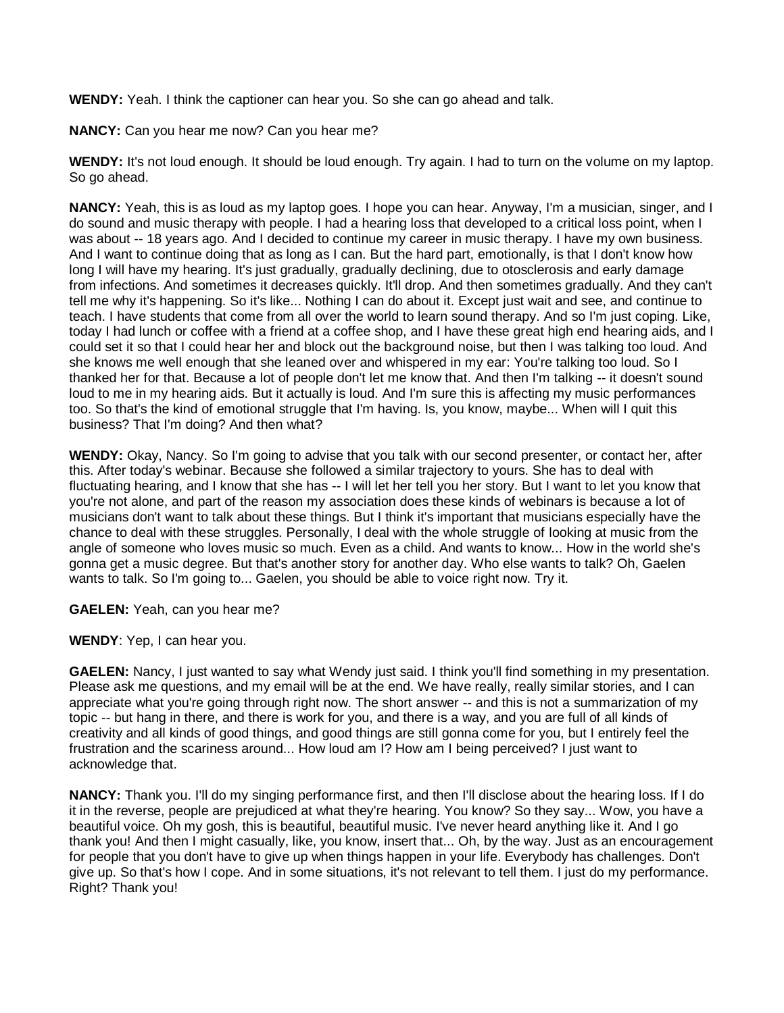**WENDY:** Yeah. I think the captioner can hear you. So she can go ahead and talk.

**NANCY:** Can you hear me now? Can you hear me?

**WENDY:** It's not loud enough. It should be loud enough. Try again. I had to turn on the volume on my laptop. So go ahead.

**NANCY:** Yeah, this is as loud as my laptop goes. I hope you can hear. Anyway, I'm a musician, singer, and I do sound and music therapy with people. I had a hearing loss that developed to a critical loss point, when I was about -- 18 years ago. And I decided to continue my career in music therapy. I have my own business. And I want to continue doing that as long as I can. But the hard part, emotionally, is that I don't know how long I will have my hearing. It's just gradually, gradually declining, due to otosclerosis and early damage from infections. And sometimes it decreases quickly. It'll drop. And then sometimes gradually. And they can't tell me why it's happening. So it's like... Nothing I can do about it. Except just wait and see, and continue to teach. I have students that come from all over the world to learn sound therapy. And so I'm just coping. Like, today I had lunch or coffee with a friend at a coffee shop, and I have these great high end hearing aids, and I could set it so that I could hear her and block out the background noise, but then I was talking too loud. And she knows me well enough that she leaned over and whispered in my ear: You're talking too loud. So I thanked her for that. Because a lot of people don't let me know that. And then I'm talking -- it doesn't sound loud to me in my hearing aids. But it actually is loud. And I'm sure this is affecting my music performances too. So that's the kind of emotional struggle that I'm having. Is, you know, maybe... When will I quit this business? That I'm doing? And then what?

**WENDY:** Okay, Nancy. So I'm going to advise that you talk with our second presenter, or contact her, after this. After today's webinar. Because she followed a similar trajectory to yours. She has to deal with fluctuating hearing, and I know that she has -- I will let her tell you her story. But I want to let you know that you're not alone, and part of the reason my association does these kinds of webinars is because a lot of musicians don't want to talk about these things. But I think it's important that musicians especially have the chance to deal with these struggles. Personally, I deal with the whole struggle of looking at music from the angle of someone who loves music so much. Even as a child. And wants to know... How in the world she's gonna get a music degree. But that's another story for another day. Who else wants to talk? Oh, Gaelen wants to talk. So I'm going to... Gaelen, you should be able to voice right now. Try it.

**GAELEN:** Yeah, can you hear me?

**WENDY**: Yep, I can hear you.

**GAELEN:** Nancy, I just wanted to say what Wendy just said. I think you'll find something in my presentation. Please ask me questions, and my email will be at the end. We have really, really similar stories, and I can appreciate what you're going through right now. The short answer -- and this is not a summarization of my topic -- but hang in there, and there is work for you, and there is a way, and you are full of all kinds of creativity and all kinds of good things, and good things are still gonna come for you, but I entirely feel the frustration and the scariness around... How loud am I? How am I being perceived? I just want to acknowledge that.

**NANCY:** Thank you. I'll do my singing performance first, and then I'll disclose about the hearing loss. If I do it in the reverse, people are prejudiced at what they're hearing. You know? So they say... Wow, you have a beautiful voice. Oh my gosh, this is beautiful, beautiful music. I've never heard anything like it. And I go thank you! And then I might casually, like, you know, insert that... Oh, by the way. Just as an encouragement for people that you don't have to give up when things happen in your life. Everybody has challenges. Don't give up. So that's how I cope. And in some situations, it's not relevant to tell them. I just do my performance. Right? Thank you!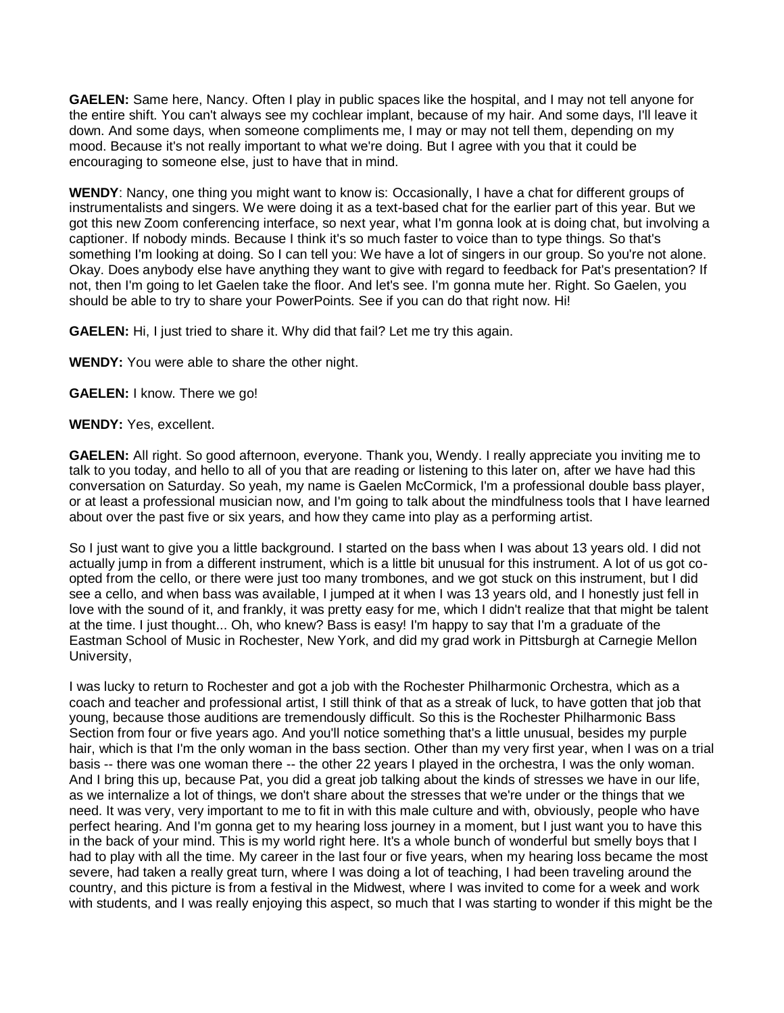**GAELEN:** Same here, Nancy. Often I play in public spaces like the hospital, and I may not tell anyone for the entire shift. You can't always see my cochlear implant, because of my hair. And some days, I'll leave it down. And some days, when someone compliments me, I may or may not tell them, depending on my mood. Because it's not really important to what we're doing. But I agree with you that it could be encouraging to someone else, just to have that in mind.

**WENDY**: Nancy, one thing you might want to know is: Occasionally, I have a chat for different groups of instrumentalists and singers. We were doing it as a text-based chat for the earlier part of this year. But we got this new Zoom conferencing interface, so next year, what I'm gonna look at is doing chat, but involving a captioner. If nobody minds. Because I think it's so much faster to voice than to type things. So that's something I'm looking at doing. So I can tell you: We have a lot of singers in our group. So you're not alone. Okay. Does anybody else have anything they want to give with regard to feedback for Pat's presentation? If not, then I'm going to let Gaelen take the floor. And let's see. I'm gonna mute her. Right. So Gaelen, you should be able to try to share your PowerPoints. See if you can do that right now. Hi!

**GAELEN:** Hi, I just tried to share it. Why did that fail? Let me try this again.

**WENDY:** You were able to share the other night.

**GAELEN:** I know. There we go!

**WENDY:** Yes, excellent.

**GAELEN:** All right. So good afternoon, everyone. Thank you, Wendy. I really appreciate you inviting me to talk to you today, and hello to all of you that are reading or listening to this later on, after we have had this conversation on Saturday. So yeah, my name is Gaelen McCormick, I'm a professional double bass player, or at least a professional musician now, and I'm going to talk about the mindfulness tools that I have learned about over the past five or six years, and how they came into play as a performing artist.

So I just want to give you a little background. I started on the bass when I was about 13 years old. I did not actually jump in from a different instrument, which is a little bit unusual for this instrument. A lot of us got coopted from the cello, or there were just too many trombones, and we got stuck on this instrument, but I did see a cello, and when bass was available, I jumped at it when I was 13 years old, and I honestly just fell in love with the sound of it, and frankly, it was pretty easy for me, which I didn't realize that that might be talent at the time. I just thought... Oh, who knew? Bass is easy! I'm happy to say that I'm a graduate of the Eastman School of Music in Rochester, New York, and did my grad work in Pittsburgh at Carnegie Mellon University,

I was lucky to return to Rochester and got a job with the Rochester Philharmonic Orchestra, which as a coach and teacher and professional artist, I still think of that as a streak of luck, to have gotten that job that young, because those auditions are tremendously difficult. So this is the Rochester Philharmonic Bass Section from four or five years ago. And you'll notice something that's a little unusual, besides my purple hair, which is that I'm the only woman in the bass section. Other than my very first year, when I was on a trial basis -- there was one woman there -- the other 22 years I played in the orchestra, I was the only woman. And I bring this up, because Pat, you did a great job talking about the kinds of stresses we have in our life, as we internalize a lot of things, we don't share about the stresses that we're under or the things that we need. It was very, very important to me to fit in with this male culture and with, obviously, people who have perfect hearing. And I'm gonna get to my hearing loss journey in a moment, but I just want you to have this in the back of your mind. This is my world right here. It's a whole bunch of wonderful but smelly boys that I had to play with all the time. My career in the last four or five years, when my hearing loss became the most severe, had taken a really great turn, where I was doing a lot of teaching, I had been traveling around the country, and this picture is from a festival in the Midwest, where I was invited to come for a week and work with students, and I was really enjoying this aspect, so much that I was starting to wonder if this might be the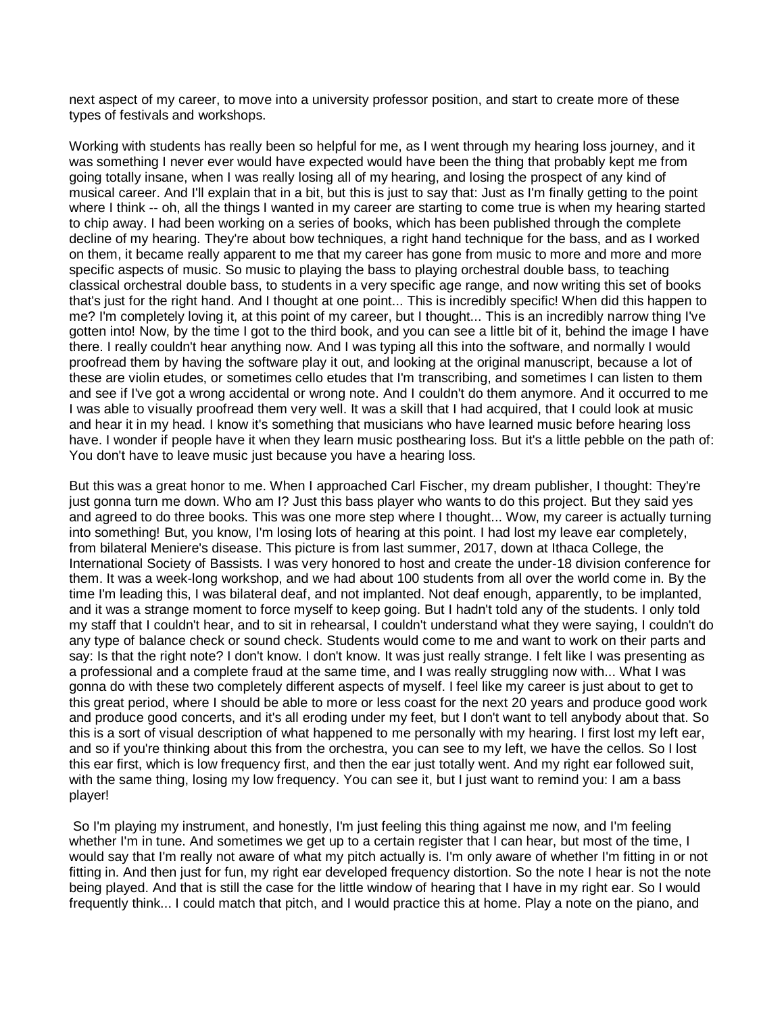next aspect of my career, to move into a university professor position, and start to create more of these types of festivals and workshops.

Working with students has really been so helpful for me, as I went through my hearing loss journey, and it was something I never ever would have expected would have been the thing that probably kept me from going totally insane, when I was really losing all of my hearing, and losing the prospect of any kind of musical career. And I'll explain that in a bit, but this is just to say that: Just as I'm finally getting to the point where I think -- oh, all the things I wanted in my career are starting to come true is when my hearing started to chip away. I had been working on a series of books, which has been published through the complete decline of my hearing. They're about bow techniques, a right hand technique for the bass, and as I worked on them, it became really apparent to me that my career has gone from music to more and more and more specific aspects of music. So music to playing the bass to playing orchestral double bass, to teaching classical orchestral double bass, to students in a very specific age range, and now writing this set of books that's just for the right hand. And I thought at one point... This is incredibly specific! When did this happen to me? I'm completely loving it, at this point of my career, but I thought... This is an incredibly narrow thing I've gotten into! Now, by the time I got to the third book, and you can see a little bit of it, behind the image I have there. I really couldn't hear anything now. And I was typing all this into the software, and normally I would proofread them by having the software play it out, and looking at the original manuscript, because a lot of these are violin etudes, or sometimes cello etudes that I'm transcribing, and sometimes I can listen to them and see if I've got a wrong accidental or wrong note. And I couldn't do them anymore. And it occurred to me I was able to visually proofread them very well. It was a skill that I had acquired, that I could look at music and hear it in my head. I know it's something that musicians who have learned music before hearing loss have. I wonder if people have it when they learn music posthearing loss. But it's a little pebble on the path of: You don't have to leave music just because you have a hearing loss.

But this was a great honor to me. When I approached Carl Fischer, my dream publisher, I thought: They're just gonna turn me down. Who am I? Just this bass player who wants to do this project. But they said yes and agreed to do three books. This was one more step where I thought... Wow, my career is actually turning into something! But, you know, I'm losing lots of hearing at this point. I had lost my leave ear completely, from bilateral Meniere's disease. This picture is from last summer, 2017, down at Ithaca College, the International Society of Bassists. I was very honored to host and create the under-18 division conference for them. It was a week-long workshop, and we had about 100 students from all over the world come in. By the time I'm leading this, I was bilateral deaf, and not implanted. Not deaf enough, apparently, to be implanted, and it was a strange moment to force myself to keep going. But I hadn't told any of the students. I only told my staff that I couldn't hear, and to sit in rehearsal, I couldn't understand what they were saying, I couldn't do any type of balance check or sound check. Students would come to me and want to work on their parts and say: Is that the right note? I don't know. I don't know. It was just really strange. I felt like I was presenting as a professional and a complete fraud at the same time, and I was really struggling now with... What I was gonna do with these two completely different aspects of myself. I feel like my career is just about to get to this great period, where I should be able to more or less coast for the next 20 years and produce good work and produce good concerts, and it's all eroding under my feet, but I don't want to tell anybody about that. So this is a sort of visual description of what happened to me personally with my hearing. I first lost my left ear, and so if you're thinking about this from the orchestra, you can see to my left, we have the cellos. So I lost this ear first, which is low frequency first, and then the ear just totally went. And my right ear followed suit, with the same thing, losing my low frequency. You can see it, but I just want to remind you: I am a bass player!

So I'm playing my instrument, and honestly, I'm just feeling this thing against me now, and I'm feeling whether I'm in tune. And sometimes we get up to a certain register that I can hear, but most of the time, I would say that I'm really not aware of what my pitch actually is. I'm only aware of whether I'm fitting in or not fitting in. And then just for fun, my right ear developed frequency distortion. So the note I hear is not the note being played. And that is still the case for the little window of hearing that I have in my right ear. So I would frequently think... I could match that pitch, and I would practice this at home. Play a note on the piano, and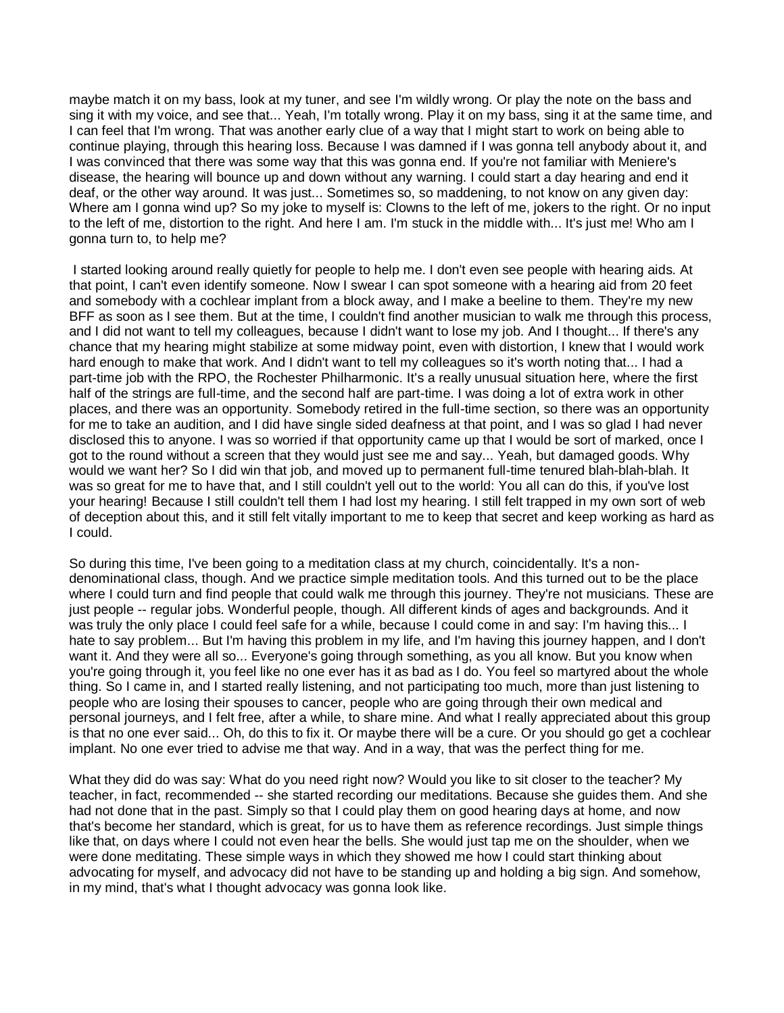maybe match it on my bass, look at my tuner, and see I'm wildly wrong. Or play the note on the bass and sing it with my voice, and see that... Yeah, I'm totally wrong. Play it on my bass, sing it at the same time, and I can feel that I'm wrong. That was another early clue of a way that I might start to work on being able to continue playing, through this hearing loss. Because I was damned if I was gonna tell anybody about it, and I was convinced that there was some way that this was gonna end. If you're not familiar with Meniere's disease, the hearing will bounce up and down without any warning. I could start a day hearing and end it deaf, or the other way around. It was just... Sometimes so, so maddening, to not know on any given day: Where am I gonna wind up? So my joke to myself is: Clowns to the left of me, jokers to the right. Or no input to the left of me, distortion to the right. And here I am. I'm stuck in the middle with... It's just me! Who am I gonna turn to, to help me?

I started looking around really quietly for people to help me. I don't even see people with hearing aids. At that point, I can't even identify someone. Now I swear I can spot someone with a hearing aid from 20 feet and somebody with a cochlear implant from a block away, and I make a beeline to them. They're my new BFF as soon as I see them. But at the time, I couldn't find another musician to walk me through this process, and I did not want to tell my colleagues, because I didn't want to lose my job. And I thought... If there's any chance that my hearing might stabilize at some midway point, even with distortion, I knew that I would work hard enough to make that work. And I didn't want to tell my colleagues so it's worth noting that... I had a part-time job with the RPO, the Rochester Philharmonic. It's a really unusual situation here, where the first half of the strings are full-time, and the second half are part-time. I was doing a lot of extra work in other places, and there was an opportunity. Somebody retired in the full-time section, so there was an opportunity for me to take an audition, and I did have single sided deafness at that point, and I was so glad I had never disclosed this to anyone. I was so worried if that opportunity came up that I would be sort of marked, once I got to the round without a screen that they would just see me and say... Yeah, but damaged goods. Why would we want her? So I did win that job, and moved up to permanent full-time tenured blah-blah-blah. It was so great for me to have that, and I still couldn't yell out to the world: You all can do this, if you've lost your hearing! Because I still couldn't tell them I had lost my hearing. I still felt trapped in my own sort of web of deception about this, and it still felt vitally important to me to keep that secret and keep working as hard as I could.

So during this time, I've been going to a meditation class at my church, coincidentally. It's a nondenominational class, though. And we practice simple meditation tools. And this turned out to be the place where I could turn and find people that could walk me through this journey. They're not musicians. These are just people -- regular jobs. Wonderful people, though. All different kinds of ages and backgrounds. And it was truly the only place I could feel safe for a while, because I could come in and say: I'm having this... I hate to say problem... But I'm having this problem in my life, and I'm having this journey happen, and I don't want it. And they were all so... Everyone's going through something, as you all know. But you know when you're going through it, you feel like no one ever has it as bad as I do. You feel so martyred about the whole thing. So I came in, and I started really listening, and not participating too much, more than just listening to people who are losing their spouses to cancer, people who are going through their own medical and personal journeys, and I felt free, after a while, to share mine. And what I really appreciated about this group is that no one ever said... Oh, do this to fix it. Or maybe there will be a cure. Or you should go get a cochlear implant. No one ever tried to advise me that way. And in a way, that was the perfect thing for me.

What they did do was say: What do you need right now? Would you like to sit closer to the teacher? My teacher, in fact, recommended -- she started recording our meditations. Because she guides them. And she had not done that in the past. Simply so that I could play them on good hearing days at home, and now that's become her standard, which is great, for us to have them as reference recordings. Just simple things like that, on days where I could not even hear the bells. She would just tap me on the shoulder, when we were done meditating. These simple ways in which they showed me how I could start thinking about advocating for myself, and advocacy did not have to be standing up and holding a big sign. And somehow, in my mind, that's what I thought advocacy was gonna look like.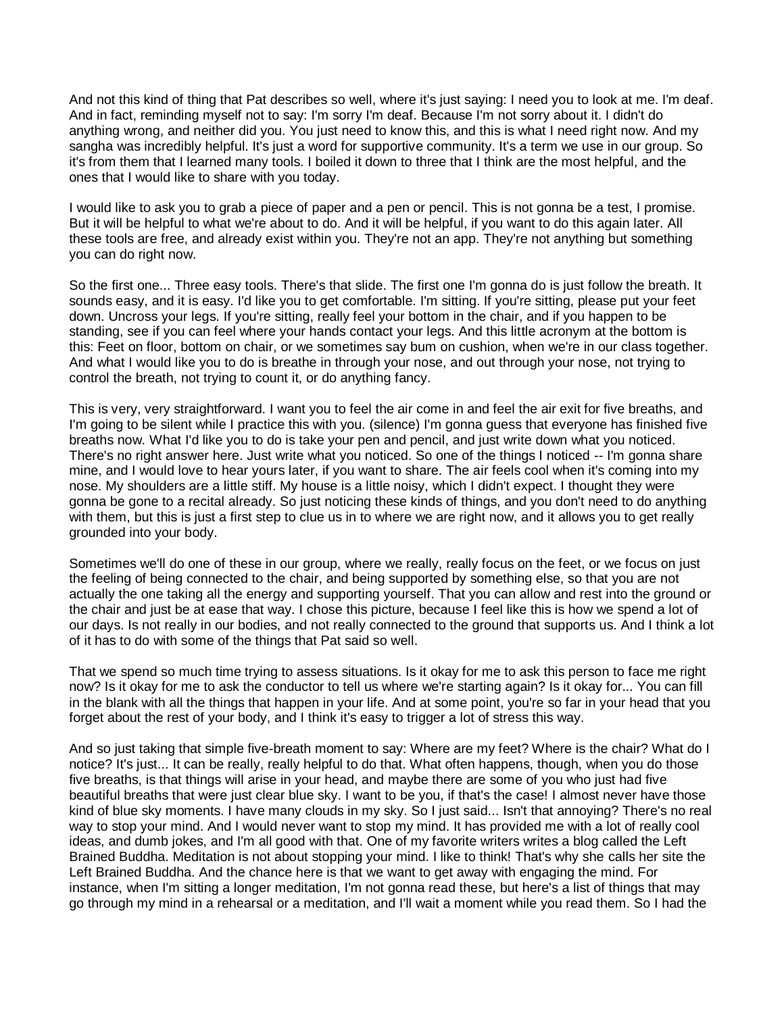And not this kind of thing that Pat describes so well, where it's just saying: I need you to look at me. I'm deaf. And in fact, reminding myself not to say: I'm sorry I'm deaf. Because I'm not sorry about it. I didn't do anything wrong, and neither did you. You just need to know this, and this is what I need right now. And my sangha was incredibly helpful. It's just a word for supportive community. It's a term we use in our group. So it's from them that I learned many tools. I boiled it down to three that I think are the most helpful, and the ones that I would like to share with you today.

I would like to ask you to grab a piece of paper and a pen or pencil. This is not gonna be a test, I promise. But it will be helpful to what we're about to do. And it will be helpful, if you want to do this again later. All these tools are free, and already exist within you. They're not an app. They're not anything but something you can do right now.

So the first one... Three easy tools. There's that slide. The first one I'm gonna do is just follow the breath. It sounds easy, and it is easy. I'd like you to get comfortable. I'm sitting. If you're sitting, please put your feet down. Uncross your legs. If you're sitting, really feel your bottom in the chair, and if you happen to be standing, see if you can feel where your hands contact your legs. And this little acronym at the bottom is this: Feet on floor, bottom on chair, or we sometimes say bum on cushion, when we're in our class together. And what I would like you to do is breathe in through your nose, and out through your nose, not trying to control the breath, not trying to count it, or do anything fancy.

This is very, very straightforward. I want you to feel the air come in and feel the air exit for five breaths, and I'm going to be silent while I practice this with you. (silence) I'm gonna guess that everyone has finished five breaths now. What I'd like you to do is take your pen and pencil, and just write down what you noticed. There's no right answer here. Just write what you noticed. So one of the things I noticed -- I'm gonna share mine, and I would love to hear yours later, if you want to share. The air feels cool when it's coming into my nose. My shoulders are a little stiff. My house is a little noisy, which I didn't expect. I thought they were gonna be gone to a recital already. So just noticing these kinds of things, and you don't need to do anything with them, but this is just a first step to clue us in to where we are right now, and it allows you to get really grounded into your body.

Sometimes we'll do one of these in our group, where we really, really focus on the feet, or we focus on just the feeling of being connected to the chair, and being supported by something else, so that you are not actually the one taking all the energy and supporting yourself. That you can allow and rest into the ground or the chair and just be at ease that way. I chose this picture, because I feel like this is how we spend a lot of our days. Is not really in our bodies, and not really connected to the ground that supports us. And I think a lot of it has to do with some of the things that Pat said so well.

That we spend so much time trying to assess situations. Is it okay for me to ask this person to face me right now? Is it okay for me to ask the conductor to tell us where we're starting again? Is it okay for... You can fill in the blank with all the things that happen in your life. And at some point, you're so far in your head that you forget about the rest of your body, and I think it's easy to trigger a lot of stress this way.

And so just taking that simple five-breath moment to say: Where are my feet? Where is the chair? What do I notice? It's just... It can be really, really helpful to do that. What often happens, though, when you do those five breaths, is that things will arise in your head, and maybe there are some of you who just had five beautiful breaths that were just clear blue sky. I want to be you, if that's the case! I almost never have those kind of blue sky moments. I have many clouds in my sky. So I just said... Isn't that annoying? There's no real way to stop your mind. And I would never want to stop my mind. It has provided me with a lot of really cool ideas, and dumb jokes, and I'm all good with that. One of my favorite writers writes a blog called the Left Brained Buddha. Meditation is not about stopping your mind. I like to think! That's why she calls her site the Left Brained Buddha. And the chance here is that we want to get away with engaging the mind. For instance, when I'm sitting a longer meditation, I'm not gonna read these, but here's a list of things that may go through my mind in a rehearsal or a meditation, and I'll wait a moment while you read them. So I had the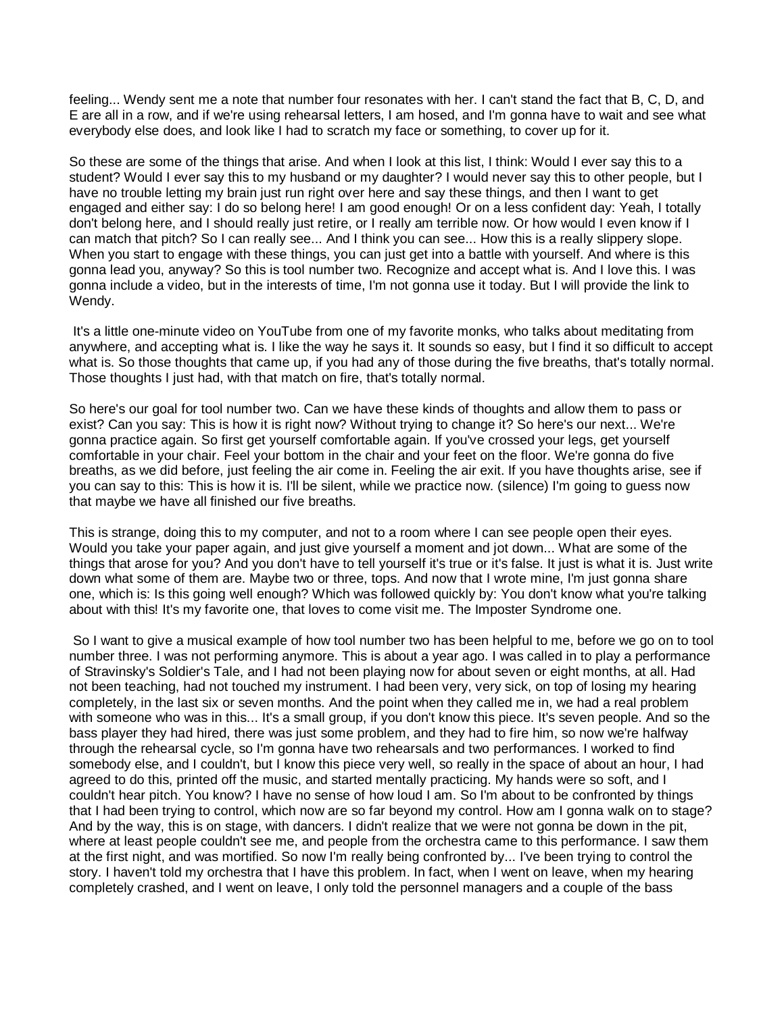feeling... Wendy sent me a note that number four resonates with her. I can't stand the fact that B, C, D, and E are all in a row, and if we're using rehearsal letters, I am hosed, and I'm gonna have to wait and see what everybody else does, and look like I had to scratch my face or something, to cover up for it.

So these are some of the things that arise. And when I look at this list, I think: Would I ever say this to a student? Would I ever say this to my husband or my daughter? I would never say this to other people, but I have no trouble letting my brain just run right over here and say these things, and then I want to get engaged and either say: I do so belong here! I am good enough! Or on a less confident day: Yeah, I totally don't belong here, and I should really just retire, or I really am terrible now. Or how would I even know if I can match that pitch? So I can really see... And I think you can see... How this is a really slippery slope. When you start to engage with these things, you can just get into a battle with yourself. And where is this gonna lead you, anyway? So this is tool number two. Recognize and accept what is. And I love this. I was gonna include a video, but in the interests of time, I'm not gonna use it today. But I will provide the link to Wendy.

It's a little one-minute video on YouTube from one of my favorite monks, who talks about meditating from anywhere, and accepting what is. I like the way he says it. It sounds so easy, but I find it so difficult to accept what is. So those thoughts that came up, if you had any of those during the five breaths, that's totally normal. Those thoughts I just had, with that match on fire, that's totally normal.

So here's our goal for tool number two. Can we have these kinds of thoughts and allow them to pass or exist? Can you say: This is how it is right now? Without trying to change it? So here's our next... We're gonna practice again. So first get yourself comfortable again. If you've crossed your legs, get yourself comfortable in your chair. Feel your bottom in the chair and your feet on the floor. We're gonna do five breaths, as we did before, just feeling the air come in. Feeling the air exit. If you have thoughts arise, see if you can say to this: This is how it is. I'll be silent, while we practice now. (silence) I'm going to guess now that maybe we have all finished our five breaths.

This is strange, doing this to my computer, and not to a room where I can see people open their eyes. Would you take your paper again, and just give yourself a moment and jot down... What are some of the things that arose for you? And you don't have to tell yourself it's true or it's false. It just is what it is. Just write down what some of them are. Maybe two or three, tops. And now that I wrote mine, I'm just gonna share one, which is: Is this going well enough? Which was followed quickly by: You don't know what you're talking about with this! It's my favorite one, that loves to come visit me. The Imposter Syndrome one.

So I want to give a musical example of how tool number two has been helpful to me, before we go on to tool number three. I was not performing anymore. This is about a year ago. I was called in to play a performance of Stravinsky's Soldier's Tale, and I had not been playing now for about seven or eight months, at all. Had not been teaching, had not touched my instrument. I had been very, very sick, on top of losing my hearing completely, in the last six or seven months. And the point when they called me in, we had a real problem with someone who was in this... It's a small group, if you don't know this piece. It's seven people. And so the bass player they had hired, there was just some problem, and they had to fire him, so now we're halfway through the rehearsal cycle, so I'm gonna have two rehearsals and two performances. I worked to find somebody else, and I couldn't, but I know this piece very well, so really in the space of about an hour, I had agreed to do this, printed off the music, and started mentally practicing. My hands were so soft, and I couldn't hear pitch. You know? I have no sense of how loud I am. So I'm about to be confronted by things that I had been trying to control, which now are so far beyond my control. How am I gonna walk on to stage? And by the way, this is on stage, with dancers. I didn't realize that we were not gonna be down in the pit, where at least people couldn't see me, and people from the orchestra came to this performance. I saw them at the first night, and was mortified. So now I'm really being confronted by... I've been trying to control the story. I haven't told my orchestra that I have this problem. In fact, when I went on leave, when my hearing completely crashed, and I went on leave, I only told the personnel managers and a couple of the bass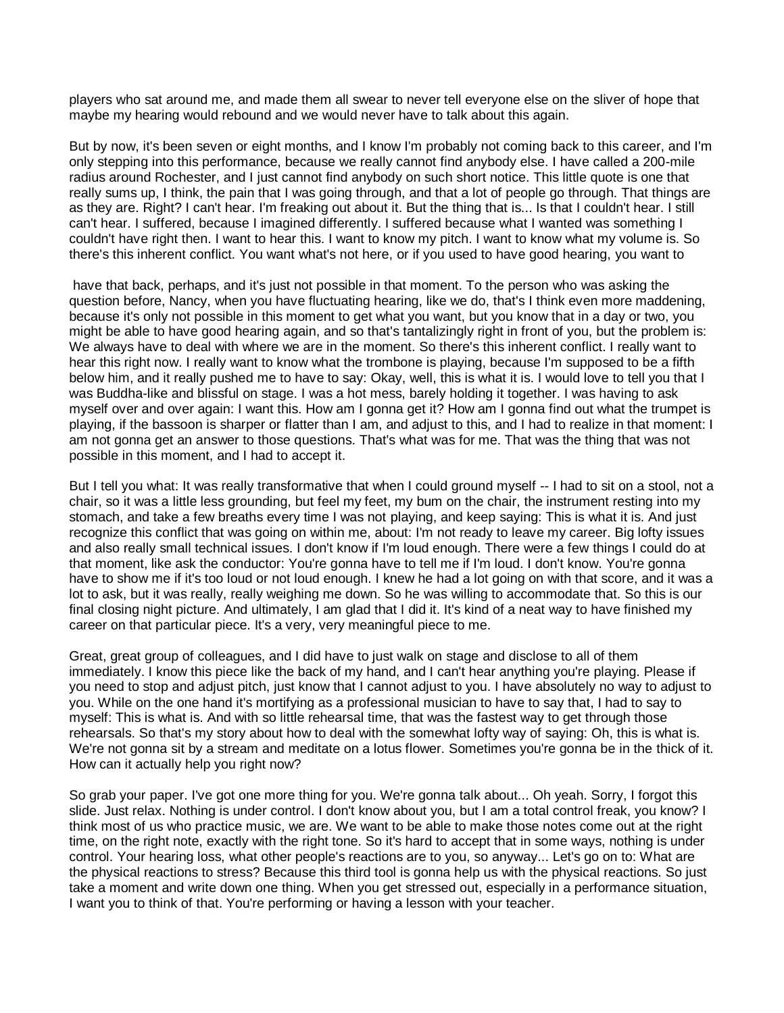players who sat around me, and made them all swear to never tell everyone else on the sliver of hope that maybe my hearing would rebound and we would never have to talk about this again.

But by now, it's been seven or eight months, and I know I'm probably not coming back to this career, and I'm only stepping into this performance, because we really cannot find anybody else. I have called a 200-mile radius around Rochester, and I just cannot find anybody on such short notice. This little quote is one that really sums up, I think, the pain that I was going through, and that a lot of people go through. That things are as they are. Right? I can't hear. I'm freaking out about it. But the thing that is... Is that I couldn't hear. I still can't hear. I suffered, because I imagined differently. I suffered because what I wanted was something I couldn't have right then. I want to hear this. I want to know my pitch. I want to know what my volume is. So there's this inherent conflict. You want what's not here, or if you used to have good hearing, you want to

have that back, perhaps, and it's just not possible in that moment. To the person who was asking the question before, Nancy, when you have fluctuating hearing, like we do, that's I think even more maddening, because it's only not possible in this moment to get what you want, but you know that in a day or two, you might be able to have good hearing again, and so that's tantalizingly right in front of you, but the problem is: We always have to deal with where we are in the moment. So there's this inherent conflict. I really want to hear this right now. I really want to know what the trombone is playing, because I'm supposed to be a fifth below him, and it really pushed me to have to say: Okay, well, this is what it is. I would love to tell you that I was Buddha-like and blissful on stage. I was a hot mess, barely holding it together. I was having to ask myself over and over again: I want this. How am I gonna get it? How am I gonna find out what the trumpet is playing, if the bassoon is sharper or flatter than I am, and adjust to this, and I had to realize in that moment: I am not gonna get an answer to those questions. That's what was for me. That was the thing that was not possible in this moment, and I had to accept it.

But I tell you what: It was really transformative that when I could ground myself -- I had to sit on a stool, not a chair, so it was a little less grounding, but feel my feet, my bum on the chair, the instrument resting into my stomach, and take a few breaths every time I was not playing, and keep saying: This is what it is. And just recognize this conflict that was going on within me, about: I'm not ready to leave my career. Big lofty issues and also really small technical issues. I don't know if I'm loud enough. There were a few things I could do at that moment, like ask the conductor: You're gonna have to tell me if I'm loud. I don't know. You're gonna have to show me if it's too loud or not loud enough. I knew he had a lot going on with that score, and it was a lot to ask, but it was really, really weighing me down. So he was willing to accommodate that. So this is our final closing night picture. And ultimately, I am glad that I did it. It's kind of a neat way to have finished my career on that particular piece. It's a very, very meaningful piece to me.

Great, great group of colleagues, and I did have to just walk on stage and disclose to all of them immediately. I know this piece like the back of my hand, and I can't hear anything you're playing. Please if you need to stop and adjust pitch, just know that I cannot adjust to you. I have absolutely no way to adjust to you. While on the one hand it's mortifying as a professional musician to have to say that, I had to say to myself: This is what is. And with so little rehearsal time, that was the fastest way to get through those rehearsals. So that's my story about how to deal with the somewhat lofty way of saying: Oh, this is what is. We're not gonna sit by a stream and meditate on a lotus flower. Sometimes you're gonna be in the thick of it. How can it actually help you right now?

So grab your paper. I've got one more thing for you. We're gonna talk about... Oh yeah. Sorry, I forgot this slide. Just relax. Nothing is under control. I don't know about you, but I am a total control freak, you know? I think most of us who practice music, we are. We want to be able to make those notes come out at the right time, on the right note, exactly with the right tone. So it's hard to accept that in some ways, nothing is under control. Your hearing loss, what other people's reactions are to you, so anyway... Let's go on to: What are the physical reactions to stress? Because this third tool is gonna help us with the physical reactions. So just take a moment and write down one thing. When you get stressed out, especially in a performance situation, I want you to think of that. You're performing or having a lesson with your teacher.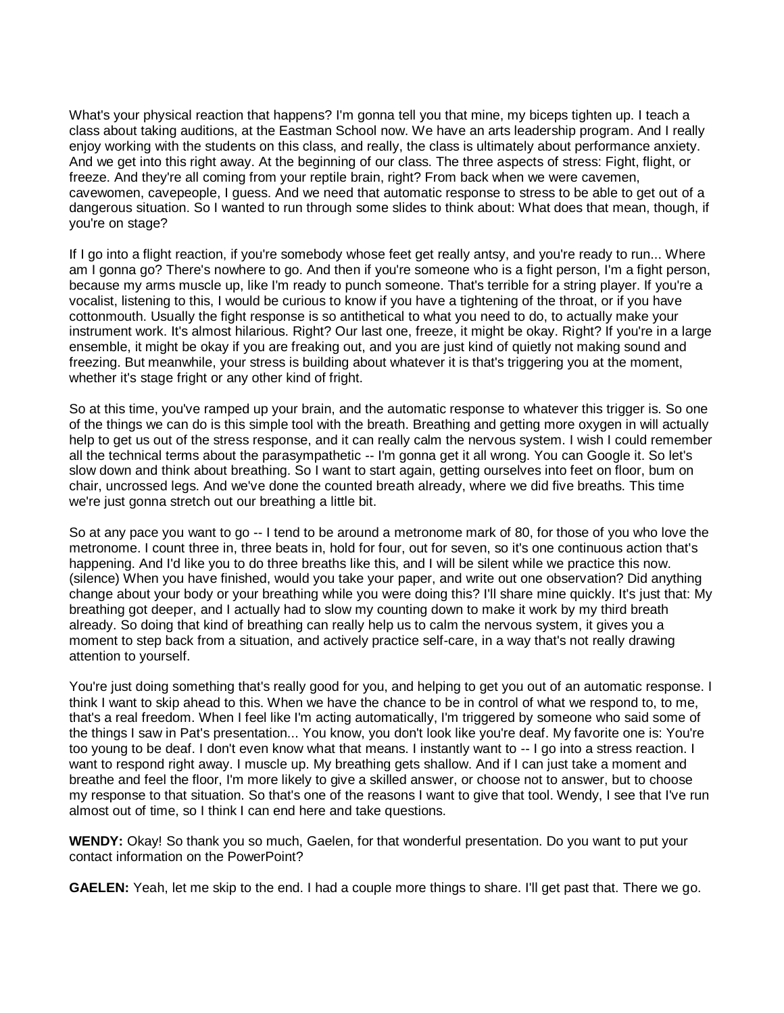What's your physical reaction that happens? I'm gonna tell you that mine, my biceps tighten up. I teach a class about taking auditions, at the Eastman School now. We have an arts leadership program. And I really enjoy working with the students on this class, and really, the class is ultimately about performance anxiety. And we get into this right away. At the beginning of our class. The three aspects of stress: Fight, flight, or freeze. And they're all coming from your reptile brain, right? From back when we were cavemen, cavewomen, cavepeople, I guess. And we need that automatic response to stress to be able to get out of a dangerous situation. So I wanted to run through some slides to think about: What does that mean, though, if you're on stage?

If I go into a flight reaction, if you're somebody whose feet get really antsy, and you're ready to run... Where am I gonna go? There's nowhere to go. And then if you're someone who is a fight person, I'm a fight person, because my arms muscle up, like I'm ready to punch someone. That's terrible for a string player. If you're a vocalist, listening to this, I would be curious to know if you have a tightening of the throat, or if you have cottonmouth. Usually the fight response is so antithetical to what you need to do, to actually make your instrument work. It's almost hilarious. Right? Our last one, freeze, it might be okay. Right? If you're in a large ensemble, it might be okay if you are freaking out, and you are just kind of quietly not making sound and freezing. But meanwhile, your stress is building about whatever it is that's triggering you at the moment, whether it's stage fright or any other kind of fright.

So at this time, you've ramped up your brain, and the automatic response to whatever this trigger is. So one of the things we can do is this simple tool with the breath. Breathing and getting more oxygen in will actually help to get us out of the stress response, and it can really calm the nervous system. I wish I could remember all the technical terms about the parasympathetic -- I'm gonna get it all wrong. You can Google it. So let's slow down and think about breathing. So I want to start again, getting ourselves into feet on floor, bum on chair, uncrossed legs. And we've done the counted breath already, where we did five breaths. This time we're just gonna stretch out our breathing a little bit.

So at any pace you want to go -- I tend to be around a metronome mark of 80, for those of you who love the metronome. I count three in, three beats in, hold for four, out for seven, so it's one continuous action that's happening. And I'd like you to do three breaths like this, and I will be silent while we practice this now. (silence) When you have finished, would you take your paper, and write out one observation? Did anything change about your body or your breathing while you were doing this? I'll share mine quickly. It's just that: My breathing got deeper, and I actually had to slow my counting down to make it work by my third breath already. So doing that kind of breathing can really help us to calm the nervous system, it gives you a moment to step back from a situation, and actively practice self-care, in a way that's not really drawing attention to yourself.

You're just doing something that's really good for you, and helping to get you out of an automatic response. I think I want to skip ahead to this. When we have the chance to be in control of what we respond to, to me, that's a real freedom. When I feel like I'm acting automatically, I'm triggered by someone who said some of the things I saw in Pat's presentation... You know, you don't look like you're deaf. My favorite one is: You're too young to be deaf. I don't even know what that means. I instantly want to -- I go into a stress reaction. I want to respond right away. I muscle up. My breathing gets shallow. And if I can just take a moment and breathe and feel the floor, I'm more likely to give a skilled answer, or choose not to answer, but to choose my response to that situation. So that's one of the reasons I want to give that tool. Wendy, I see that I've run almost out of time, so I think I can end here and take questions.

**WENDY:** Okay! So thank you so much, Gaelen, for that wonderful presentation. Do you want to put your contact information on the PowerPoint?

**GAELEN:** Yeah, let me skip to the end. I had a couple more things to share. I'll get past that. There we go.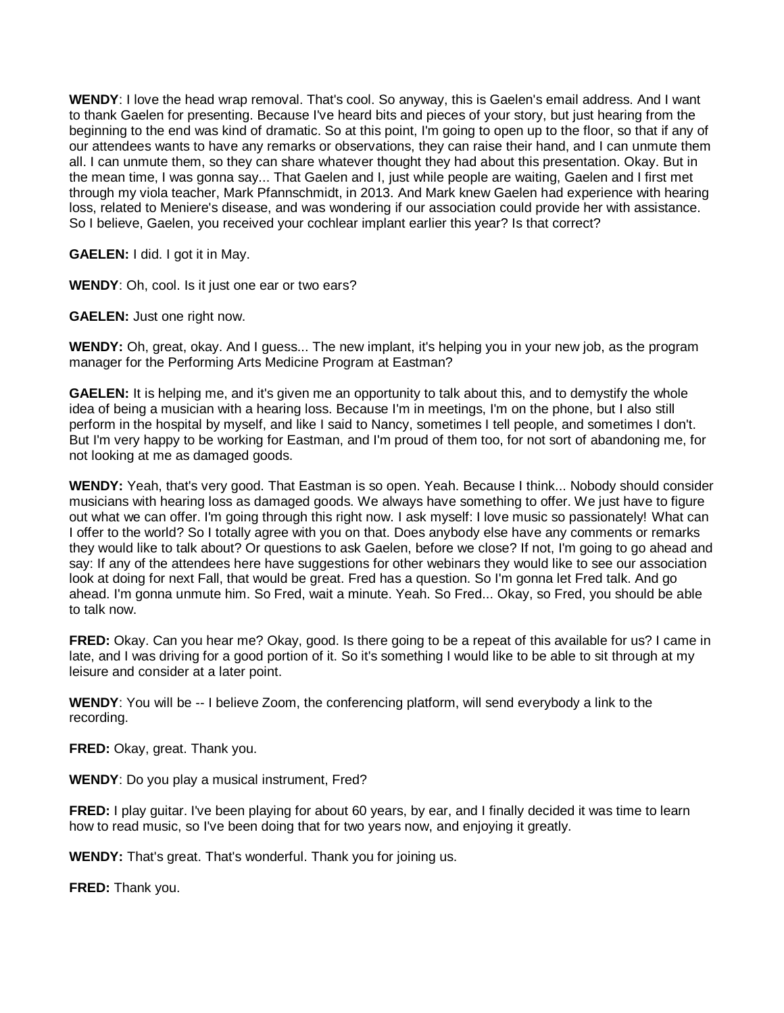**WENDY**: I love the head wrap removal. That's cool. So anyway, this is Gaelen's email address. And I want to thank Gaelen for presenting. Because I've heard bits and pieces of your story, but just hearing from the beginning to the end was kind of dramatic. So at this point, I'm going to open up to the floor, so that if any of our attendees wants to have any remarks or observations, they can raise their hand, and I can unmute them all. I can unmute them, so they can share whatever thought they had about this presentation. Okay. But in the mean time, I was gonna say... That Gaelen and I, just while people are waiting, Gaelen and I first met through my viola teacher, Mark Pfannschmidt, in 2013. And Mark knew Gaelen had experience with hearing loss, related to Meniere's disease, and was wondering if our association could provide her with assistance. So I believe, Gaelen, you received your cochlear implant earlier this year? Is that correct?

**GAELEN:** I did. I got it in May.

**WENDY**: Oh, cool. Is it just one ear or two ears?

**GAELEN:** Just one right now.

**WENDY:** Oh, great, okay. And I guess... The new implant, it's helping you in your new job, as the program manager for the Performing Arts Medicine Program at Eastman?

**GAELEN:** It is helping me, and it's given me an opportunity to talk about this, and to demystify the whole idea of being a musician with a hearing loss. Because I'm in meetings, I'm on the phone, but I also still perform in the hospital by myself, and like I said to Nancy, sometimes I tell people, and sometimes I don't. But I'm very happy to be working for Eastman, and I'm proud of them too, for not sort of abandoning me, for not looking at me as damaged goods.

**WENDY:** Yeah, that's very good. That Eastman is so open. Yeah. Because I think... Nobody should consider musicians with hearing loss as damaged goods. We always have something to offer. We just have to figure out what we can offer. I'm going through this right now. I ask myself: I love music so passionately! What can I offer to the world? So I totally agree with you on that. Does anybody else have any comments or remarks they would like to talk about? Or questions to ask Gaelen, before we close? If not, I'm going to go ahead and say: If any of the attendees here have suggestions for other webinars they would like to see our association look at doing for next Fall, that would be great. Fred has a question. So I'm gonna let Fred talk. And go ahead. I'm gonna unmute him. So Fred, wait a minute. Yeah. So Fred... Okay, so Fred, you should be able to talk now.

**FRED:** Okay. Can you hear me? Okay, good. Is there going to be a repeat of this available for us? I came in late, and I was driving for a good portion of it. So it's something I would like to be able to sit through at my leisure and consider at a later point.

**WENDY**: You will be -- I believe Zoom, the conferencing platform, will send everybody a link to the recording.

**FRED:** Okay, great. Thank you.

**WENDY**: Do you play a musical instrument, Fred?

**FRED:** I play guitar. I've been playing for about 60 years, by ear, and I finally decided it was time to learn how to read music, so I've been doing that for two years now, and enjoying it greatly.

**WENDY:** That's great. That's wonderful. Thank you for joining us.

**FRED:** Thank you.